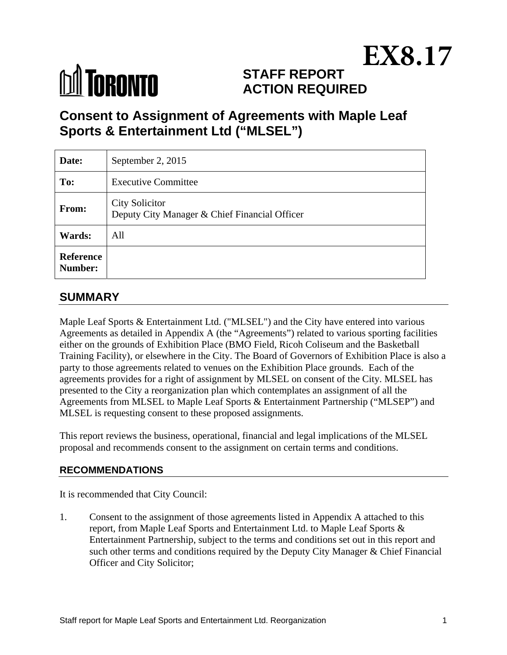# **M** TORONTO

# **STAFF REPORT ACTION REQUIRED EX8.17**

# **Consent to Assignment of Agreements with Maple Leaf Sports & Entertainment Ltd ("MLSEL")**

| Date:                       | September 2, 2015                                                      |
|-----------------------------|------------------------------------------------------------------------|
| To:                         | <b>Executive Committee</b>                                             |
| From:                       | <b>City Solicitor</b><br>Deputy City Manager & Chief Financial Officer |
| Wards:                      | All                                                                    |
| <b>Reference</b><br>Number: |                                                                        |

# **SUMMARY**

Maple Leaf Sports & Entertainment Ltd. ("MLSEL") and the City have entered into various Agreements as detailed in Appendix A (the "Agreements") related to various sporting facilities either on the grounds of Exhibition Place (BMO Field, Ricoh Coliseum and the Basketball Training Facility), or elsewhere in the City. The Board of Governors of Exhibition Place is also a party to those agreements related to venues on the Exhibition Place grounds. Each of the agreements provides for a right of assignment by MLSEL on consent of the City. MLSEL has presented to the City a reorganization plan which contemplates an assignment of all the Agreements from MLSEL to Maple Leaf Sports & Entertainment Partnership ("MLSEP") and MLSEL is requesting consent to these proposed assignments.

This report reviews the business, operational, financial and legal implications of the MLSEL proposal and recommends consent to the assignment on certain terms and conditions.

## **RECOMMENDATIONS**

It is recommended that City Council:

1. Consent to the assignment of those agreements listed in Appendix A attached to this report, from Maple Leaf Sports and Entertainment Ltd. to Maple Leaf Sports & Entertainment Partnership, subject to the terms and conditions set out in this report and such other terms and conditions required by the Deputy City Manager & Chief Financial Officer and City Solicitor;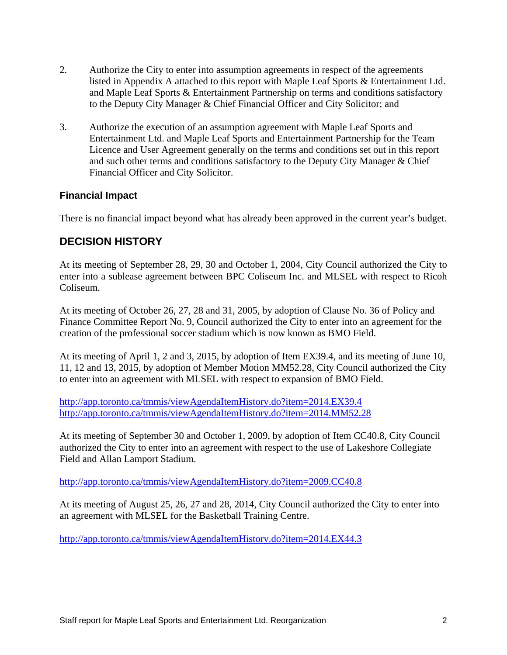- 2. Authorize the City to enter into assumption agreements in respect of the agreements listed in Appendix A attached to this report with Maple Leaf Sports & Entertainment Ltd. and Maple Leaf Sports & Entertainment Partnership on terms and conditions satisfactory to the Deputy City Manager & Chief Financial Officer and City Solicitor; and
- 3. Authorize the execution of an assumption agreement with Maple Leaf Sports and Entertainment Ltd. and Maple Leaf Sports and Entertainment Partnership for the Team Licence and User Agreement generally on the terms and conditions set out in this report and such other terms and conditions satisfactory to the Deputy City Manager & Chief Financial Officer and City Solicitor.

#### **Financial Impact**

There is no financial impact beyond what has already been approved in the current year's budget.

# **DECISION HISTORY**

At its meeting of September 28, 29, 30 and October 1, 2004, City Council authorized the City to enter into a sublease agreement between BPC Coliseum Inc. and MLSEL with respect to Ricoh Coliseum.

At its meeting of October 26, 27, 28 and 31, 2005, by adoption of Clause No. 36 of Policy and Finance Committee Report No. 9, Council authorized the City to enter into an agreement for the creation of the professional soccer stadium which is now known as BMO Field.

At its meeting of April 1, 2 and 3, 2015, by adoption of Item EX39.4, and its meeting of June 10, 11, 12 and 13, 2015, by adoption of Member Motion MM52.28, City Council authorized the City to enter into an agreement with MLSEL with respect to expansion of BMO Field.

http://app.toronto.ca/tmmis/viewAgendaItemHistory.do?item=2014.EX39.4 http://app.toronto.ca/tmmis/viewAgendaItemHistory.do?item=2014.MM52.28

At its meeting of September 30 and October 1, 2009, by adoption of Item CC40.8, City Council authorized the City to enter into an agreement with respect to the use of Lakeshore Collegiate Field and Allan Lamport Stadium.

http://app.toronto.ca/tmmis/viewAgendaItemHistory.do?item=2009.CC40.8

At its meeting of August 25, 26, 27 and 28, 2014, City Council authorized the City to enter into an agreement with MLSEL for the Basketball Training Centre.

http://app.toronto.ca/tmmis/viewAgendaItemHistory.do?item=2014.EX44.3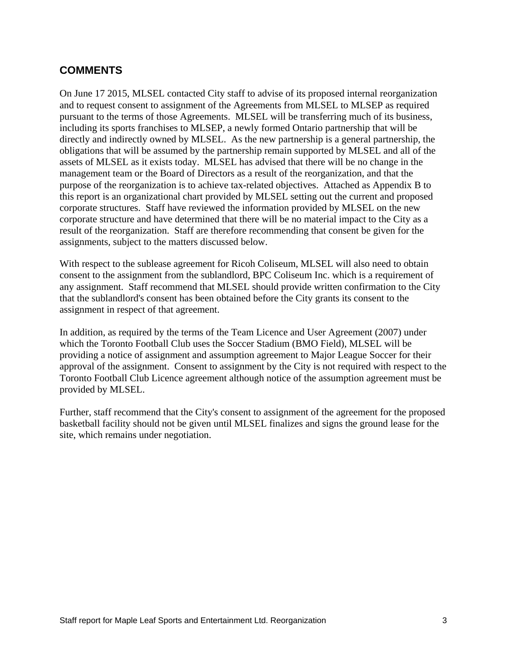# **COMMENTS**

On June 17 2015, MLSEL contacted City staff to advise of its proposed internal reorganization and to request consent to assignment of the Agreements from MLSEL to MLSEP as required pursuant to the terms of those Agreements. MLSEL will be transferring much of its business, including its sports franchises to MLSEP, a newly formed Ontario partnership that will be directly and indirectly owned by MLSEL. As the new partnership is a general partnership, the obligations that will be assumed by the partnership remain supported by MLSEL and all of the assets of MLSEL as it exists today. MLSEL has advised that there will be no change in the management team or the Board of Directors as a result of the reorganization, and that the purpose of the reorganization is to achieve tax-related objectives. Attached as Appendix B to this report is an organizational chart provided by MLSEL setting out the current and proposed corporate structures. Staff have reviewed the information provided by MLSEL on the new corporate structure and have determined that there will be no material impact to the City as a result of the reorganization. Staff are therefore recommending that consent be given for the assignments, subject to the matters discussed below.

With respect to the sublease agreement for Ricoh Coliseum, MLSEL will also need to obtain consent to the assignment from the sublandlord, BPC Coliseum Inc. which is a requirement of any assignment. Staff recommend that MLSEL should provide written confirmation to the City that the sublandlord's consent has been obtained before the City grants its consent to the assignment in respect of that agreement.

In addition, as required by the terms of the Team Licence and User Agreement (2007) under which the Toronto Football Club uses the Soccer Stadium (BMO Field), MLSEL will be providing a notice of assignment and assumption agreement to Major League Soccer for their approval of the assignment. Consent to assignment by the City is not required with respect to the Toronto Football Club Licence agreement although notice of the assumption agreement must be provided by MLSEL.

Further, staff recommend that the City's consent to assignment of the agreement for the proposed basketball facility should not be given until MLSEL finalizes and signs the ground lease for the site, which remains under negotiation.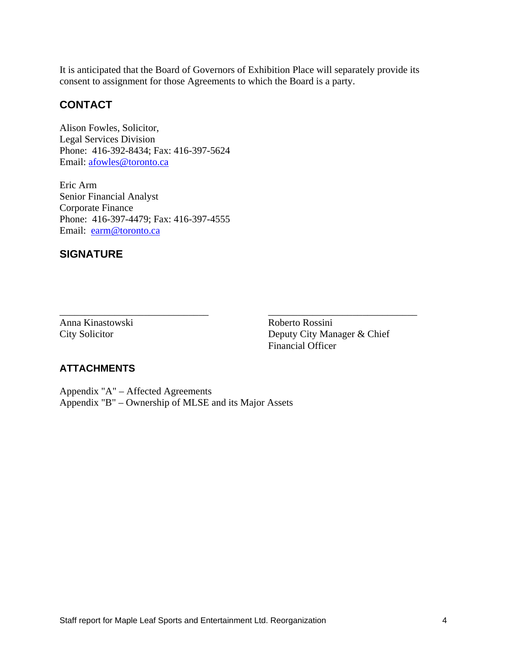It is anticipated that the Board of Governors of Exhibition Place will separately provide its consent to assignment for those Agreements to which the Board is a party.

 $\overline{\phantom{a}}$  , and the contract of the contract of the contract of the contract of the contract of the contract of the contract of the contract of the contract of the contract of the contract of the contract of the contrac

## **CONTACT**

Alison Fowles, Solicitor, Legal Services Division Phone: 416-392-8434; Fax: 416-397-5624 Email: afowles@toronto.ca

Eric Arm Senior Financial Analyst Corporate Finance Phone: 416-397-4479; Fax: 416-397-4555 Email: earm@toronto.ca

#### **SIGNATURE**

Anna Kinastowski Roberto Rossini

 City Solicitor Deputy City Manager & Chief Financial Officer

#### **ATTACHMENTS**

Appendix "A" – Affected Agreements Appendix "B" – Ownership of MLSE and its Major Assets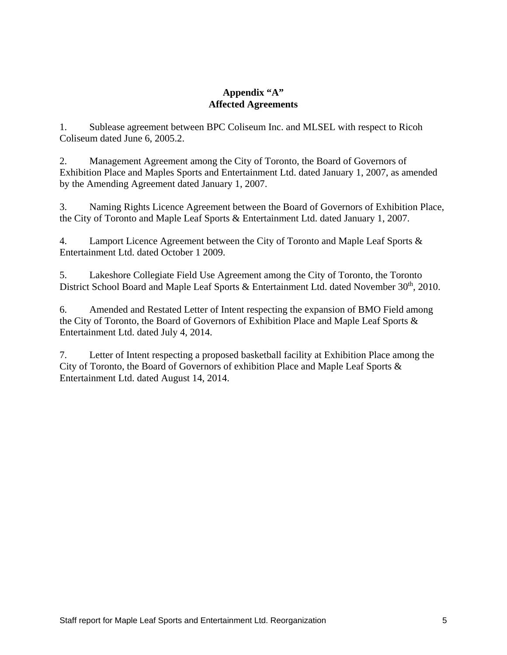#### **Appendix "A" Affected Agreements**

1. Sublease agreement between BPC Coliseum Inc. and MLSEL with respect to Ricoh Coliseum dated June 6, 2005.2.

2. Management Agreement among the City of Toronto, the Board of Governors of Exhibition Place and Maples Sports and Entertainment Ltd. dated January 1, 2007, as amended by the Amending Agreement dated January 1, 2007.

3. Naming Rights Licence Agreement between the Board of Governors of Exhibition Place, the City of Toronto and Maple Leaf Sports & Entertainment Ltd. dated January 1, 2007.

4. Lamport Licence Agreement between the City of Toronto and Maple Leaf Sports & Entertainment Ltd. dated October 1 2009.

5. Lakeshore Collegiate Field Use Agreement among the City of Toronto, the Toronto District School Board and Maple Leaf Sports & Entertainment Ltd. dated November 30<sup>th</sup>, 2010.

6. Amended and Restated Letter of Intent respecting the expansion of BMO Field among the City of Toronto, the Board of Governors of Exhibition Place and Maple Leaf Sports & Entertainment Ltd. dated July 4, 2014.

7. Letter of Intent respecting a proposed basketball facility at Exhibition Place among the City of Toronto, the Board of Governors of exhibition Place and Maple Leaf Sports & Entertainment Ltd. dated August 14, 2014.